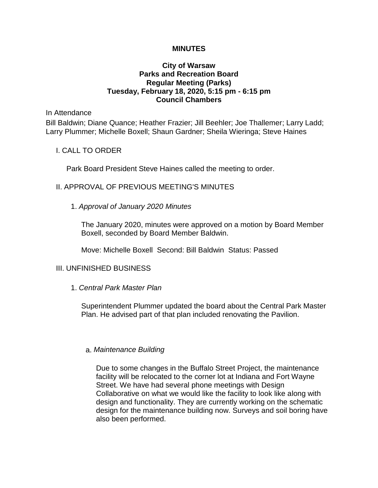#### **MINUTES**

## **City of Warsaw Parks and Recreation Board Regular Meeting (Parks) Tuesday, February 18, 2020, 5:15 pm - 6:15 pm Council Chambers**

In Attendance

Bill Baldwin; Diane Quance; Heather Frazier; Jill Beehler; Joe Thallemer; Larry Ladd; Larry Plummer; Michelle Boxell; Shaun Gardner; Sheila Wieringa; Steve Haines

#### I. CALL TO ORDER

Park Board President Steve Haines called the meeting to order.

## II. APPROVAL OF PREVIOUS MEETING'S MINUTES

## 1. *Approval of January 2020 Minutes*

The January 2020, minutes were approved on a motion by Board Member Boxell, seconded by Board Member Baldwin.

Move: Michelle Boxell Second: Bill Baldwin Status: Passed

# III. UNFINISHED BUSINESS

## 1. *Central Park Master Plan*

Superintendent Plummer updated the board about the Central Park Master Plan. He advised part of that plan included renovating the Pavilion.

#### a. *Maintenance Building*

Due to some changes in the Buffalo Street Project, the maintenance facility will be relocated to the corner lot at Indiana and Fort Wayne Street. We have had several phone meetings with Design Collaborative on what we would like the facility to look like along with design and functionality. They are currently working on the schematic design for the maintenance building now. Surveys and soil boring have also been performed.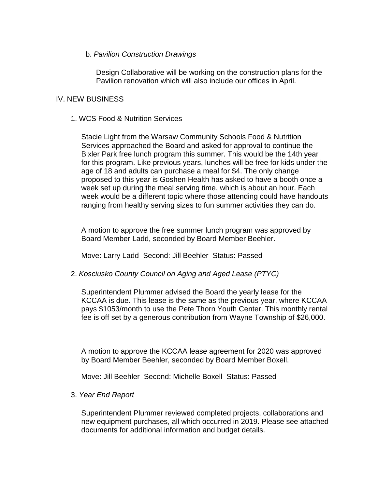## b. *Pavilion Construction Drawings*

Design Collaborative will be working on the construction plans for the Pavilion renovation which will also include our offices in April.

## IV. NEW BUSINESS

### 1. WCS Food & Nutrition Services

Stacie Light from the Warsaw Community Schools Food & Nutrition Services approached the Board and asked for approval to continue the Bixler Park free lunch program this summer. This would be the 14th year for this program. Like previous years, lunches will be free for kids under the age of 18 and adults can purchase a meal for \$4. The only change proposed to this year is Goshen Health has asked to have a booth once a week set up during the meal serving time, which is about an hour. Each week would be a different topic where those attending could have handouts ranging from healthy serving sizes to fun summer activities they can do.

A motion to approve the free summer lunch program was approved by Board Member Ladd, seconded by Board Member Beehler.

Move: Larry Ladd Second: Jill Beehler Status: Passed

#### 2. *Kosciusko County Council on Aging and Aged Lease (PTYC)*

Superintendent Plummer advised the Board the yearly lease for the KCCAA is due. This lease is the same as the previous year, where KCCAA pays \$1053/month to use the Pete Thorn Youth Center. This monthly rental fee is off set by a generous contribution from Wayne Township of \$26,000.

A motion to approve the KCCAA lease agreement for 2020 was approved by Board Member Beehler, seconded by Board Member Boxell.

Move: Jill Beehler Second: Michelle Boxell Status: Passed

#### 3. *Year End Report*

Superintendent Plummer reviewed completed projects, collaborations and new equipment purchases, all which occurred in 2019. Please see attached documents for additional information and budget details.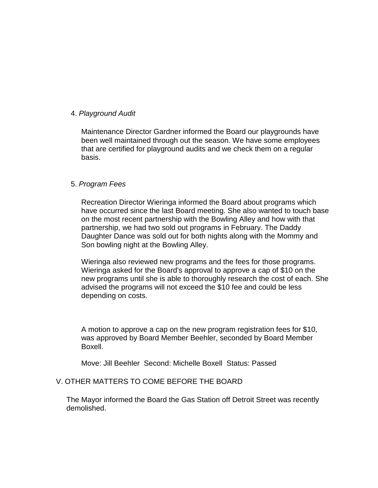## 4. *Playground Audit*

Maintenance Director Gardner informed the Board our playgrounds have been well maintained through out the season. We have some employees that are certified for playground audits and we check them on a regular basis.

## 5. *Program Fees*

Recreation Director Wieringa informed the Board about programs which have occurred since the last Board meeting. She also wanted to touch base on the most recent partnership with the Bowling Alley and how with that partnership, we had two sold out programs in February. The Daddy Daughter Dance was sold out for both nights along with the Mommy and Son bowling night at the Bowling Alley.

Wieringa also reviewed new programs and the fees for those programs. Wieringa asked for the Board's approval to approve a cap of \$10 on the new programs until she is able to thoroughly research the cost of each. She advised the programs will not exceed the \$10 fee and could be less depending on costs.

A motion to approve a cap on the new program registration fees for \$10, was approved by Board Member Beehler, seconded by Board Member Boxell.

Move: Jill Beehler Second: Michelle Boxell Status: Passed

# V. OTHER MATTERS TO COME BEFORE THE BOARD

The Mayor informed the Board the Gas Station off Detroit Street was recently demolished.